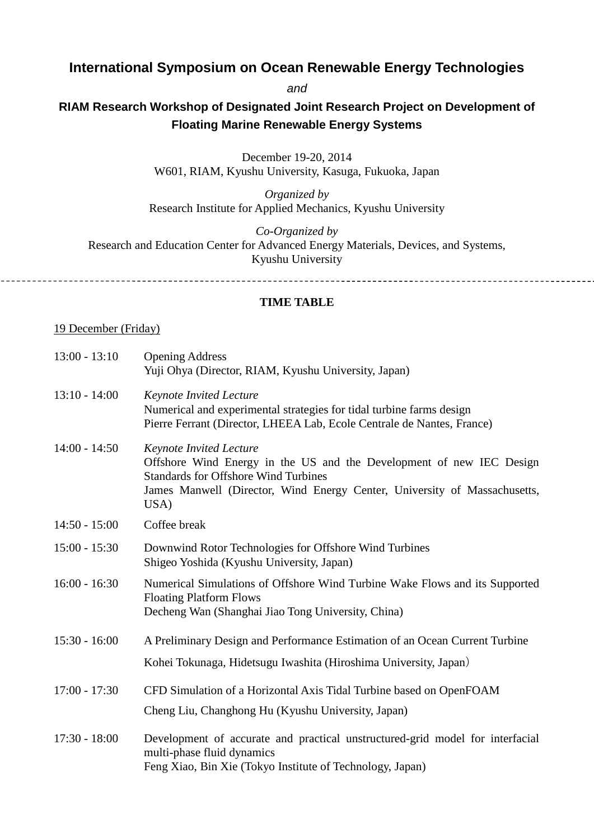# **International Symposium on Ocean Renewable Energy Technologies**

*and*

## **RIAM Research Workshop of Designated Joint Research Project on Development of Floating Marine Renewable Energy Systems**

December 19-20, 2014

W601, RIAM, Kyushu University, Kasuga, Fukuoka, Japan

*Organized by* Research Institute for Applied Mechanics, Kyushu University

*Co-Organized by* Research and Education Center for Advanced Energy Materials, Devices, and Systems, Kyushu University

### **TIME TABLE**

#### 19 December (Friday)

| $13:00 - 13:10$ | <b>Opening Address</b><br>Yuji Ohya (Director, RIAM, Kyushu University, Japan)                                                                                                                                                             |
|-----------------|--------------------------------------------------------------------------------------------------------------------------------------------------------------------------------------------------------------------------------------------|
| $13:10 - 14:00$ | <b>Keynote Invited Lecture</b><br>Numerical and experimental strategies for tidal turbine farms design<br>Pierre Ferrant (Director, LHEEA Lab, Ecole Centrale de Nantes, France)                                                           |
| $14:00 - 14:50$ | <b>Keynote Invited Lecture</b><br>Offshore Wind Energy in the US and the Development of new IEC Design<br><b>Standards for Offshore Wind Turbines</b><br>James Manwell (Director, Wind Energy Center, University of Massachusetts,<br>USA) |
| $14:50 - 15:00$ | Coffee break                                                                                                                                                                                                                               |
| $15:00 - 15:30$ | Downwind Rotor Technologies for Offshore Wind Turbines<br>Shigeo Yoshida (Kyushu University, Japan)                                                                                                                                        |
| $16:00 - 16:30$ | Numerical Simulations of Offshore Wind Turbine Wake Flows and its Supported<br><b>Floating Platform Flows</b><br>Decheng Wan (Shanghai Jiao Tong University, China)                                                                        |
| $15:30 - 16:00$ | A Preliminary Design and Performance Estimation of an Ocean Current Turbine                                                                                                                                                                |
|                 | Kohei Tokunaga, Hidetsugu Iwashita (Hiroshima University, Japan)                                                                                                                                                                           |
| $17:00 - 17:30$ | CFD Simulation of a Horizontal Axis Tidal Turbine based on OpenFOAM<br>Cheng Liu, Changhong Hu (Kyushu University, Japan)                                                                                                                  |
| $17:30 - 18:00$ | Development of accurate and practical unstructured-grid model for interfacial<br>multi-phase fluid dynamics<br>Feng Xiao, Bin Xie (Tokyo Institute of Technology, Japan)                                                                   |